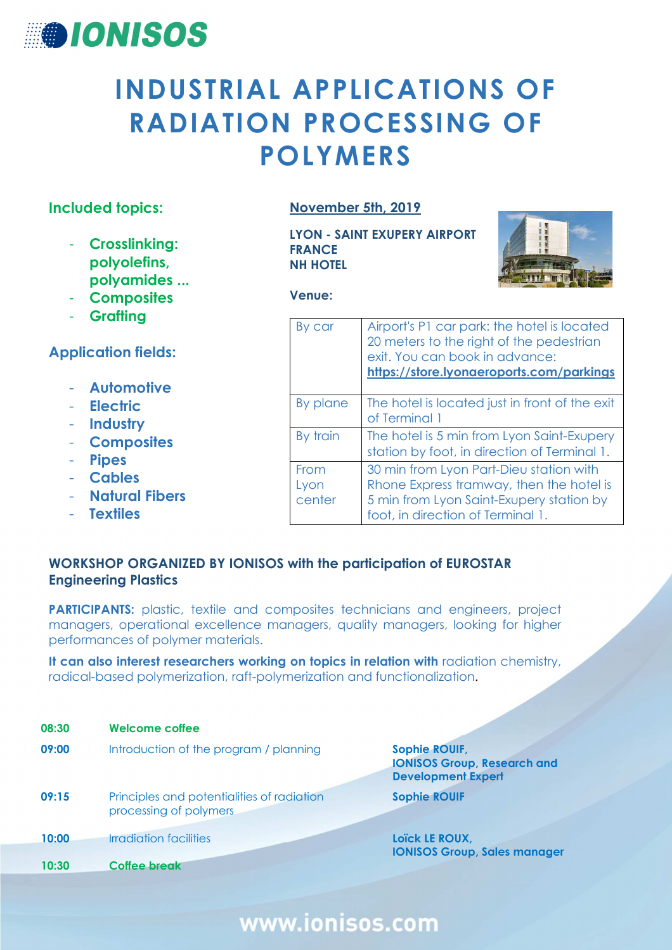

# **INDUSTRIAL APPLICATIONS OF RADIATION PROCESSING OF POLYMERS**

#### **Included topics:**

- **Crosslinking: polyolefins, polyamides ...**
- **Composites**
- **Grafting**

#### **Application fields:**

- **Automotive**
- **Electric**
- **Industry**
- **Composites**
- **Pipes**
- **Cables**
- **Natural Fibers**
- **Textiles**

#### **November 5th, 2019**

**LYON - SAINT EXUPERY AIRPORT FRANCE NH HOTEL** 



**Venue:** 

| By car                 | Airport's P1 car park: the hotel is located<br>20 meters to the right of the pedestrian<br>exit. You can book in advance:<br>https://store.lyonaeroports.com/parkings |
|------------------------|-----------------------------------------------------------------------------------------------------------------------------------------------------------------------|
| By plane               | The hotel is located just in front of the exit<br>of Terminal 1                                                                                                       |
| By train               | The hotel is 5 min from Lyon Saint-Exupery<br>station by foot, in direction of Terminal 1.                                                                            |
| From<br>Lyon<br>center | 30 min from Lyon Part-Dieu station with<br>Rhone Express tramway, then the hotel is<br>5 min from Lyon Saint-Exupery station by<br>foot, in direction of Terminal 1.  |

#### **WORKSHOP ORGANIZED BY IONISOS with the participation of EUROSTAR Engineering Plastics**

**PARTICIPANTS:** plastic, textile and composites technicians and engineers, project managers, operational excellence managers, quality managers, looking for higher performances of polymer materials.

It can also interest researchers working on topics in relation with radiation chemistry, radical-based polymerization, raft-polymerization and functionalization.

| 08:30 | <b>Welcome coffee</b>                                                |                                                                                         |
|-------|----------------------------------------------------------------------|-----------------------------------------------------------------------------------------|
| 09:00 | Introduction of the program / planning                               | <b>Sophie ROUIF,</b><br><b>IONISOS Group, Research and</b><br><b>Development Expert</b> |
| 09:15 | Principles and potentialities of radiation<br>processing of polymers | <b>Sophie ROUIF</b>                                                                     |
| 10:00 | Irradiation facilities                                               | Loïck LE ROUX,<br><b>IONISOS Group, Sales manager</b>                                   |
| 10:30 | Coffee break                                                         |                                                                                         |

## www.ionisos.com